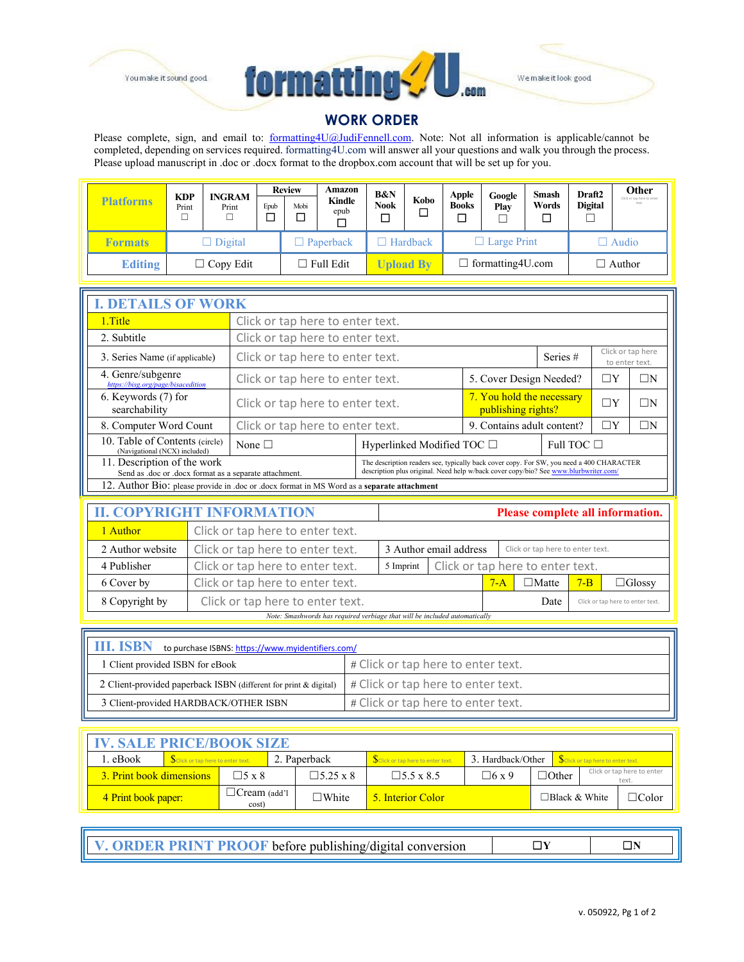



We make it look good

## **WORK ORDER**

Please complete, sign, and email to: **formatting4U@JudiFennell.com**. Note: Not all information is applicable/cannot be completed, depending on services required. formatting4U.com will answer all your questions and walk you through the process. Please upload manuscript in .doc or .docx format to the dropbox.com account that will be set up for you.

|                  | <b>KDP</b>       | <b>INGRAM</b> |                | <b>Review</b>    | Amazon           | <b>B&amp;N</b>        |                          | <b>Apple</b> | Google             | Smash         | Draft <sub>2</sub> | Other                               |
|------------------|------------------|---------------|----------------|------------------|------------------|-----------------------|--------------------------|--------------|--------------------|---------------|--------------------|-------------------------------------|
| <b>Platforms</b> | Print            | Print         | Epub<br>$\Box$ | Mobi             | Kindle<br>epub   | <b>Nook</b><br>$\Box$ | Kobo<br>□                | <b>Books</b> | Play               | Words         | <b>Digital</b>     | Click or tap here to enter<br>text. |
| <b>Formats</b>   | $\Box$ Digital   |               |                | <b>Paperback</b> |                  | Hardback              |                          |              | $\Box$ Large Print |               | $\Box$ Audio       |                                     |
| <b>Editing</b>   | $\Box$ Copy Edit |               |                |                  | $\Box$ Full Edit | <b>Upload By</b>      | $\Box$ formatting 4U.com |              |                    | $\Box$ Author |                    |                                     |

| <b>I. DETAILS OF WORK</b>                                                                  |                                                                                                                                                                                  |                                 |                                                 |                 |          |          |  |  |  |
|--------------------------------------------------------------------------------------------|----------------------------------------------------------------------------------------------------------------------------------------------------------------------------------|---------------------------------|-------------------------------------------------|-----------------|----------|----------|--|--|--|
| 1. Title                                                                                   | Click or tap here to enter text.                                                                                                                                                 |                                 |                                                 |                 |          |          |  |  |  |
| 2. Subtitle                                                                                | Click or tap here to enter text.                                                                                                                                                 |                                 |                                                 |                 |          |          |  |  |  |
| 3. Series Name (if applicable)                                                             | Click or tap here<br>Series #<br>Click or tap here to enter text.<br>to enter text.                                                                                              |                                 |                                                 |                 |          |          |  |  |  |
| 4. Genre/subgenre<br>https://bisg.org/page/bisacedition                                    | Click or tap here to enter text.                                                                                                                                                 |                                 | 5. Cover Design Needed?                         |                 | $\Box$ N |          |  |  |  |
| 6. Keywords (7) for<br>searchability                                                       | Click or tap here to enter text.                                                                                                                                                 |                                 | 7. You hold the necessary<br>publishing rights? | $\Box Y$        | $\Box$ n |          |  |  |  |
| 8. Computer Word Count                                                                     | Click or tap here to enter text.                                                                                                                                                 |                                 | 9. Contains adult content?                      |                 | ΙT       | $\Box$ N |  |  |  |
| 10. Table of Contents (circle)<br>(Navigational (NCX) included)                            | None $\Box$                                                                                                                                                                      | Hyperlinked Modified TOC $\Box$ |                                                 | Full TOC $\Box$ |          |          |  |  |  |
| 11. Description of the work<br>Send as .doc or .docx format as a separate attachment.      | The description readers see, typically back cover copy. For SW, you need a 400 CHARACTER<br>description plus original. Need help w/back cover copy/bio? See www.blurbwriter.com/ |                                 |                                                 |                 |          |          |  |  |  |
| 12. Author Bio: please provide in .doc or .docx format in MS Word as a separate attachment |                                                                                                                                                                                  |                                 |                                                 |                 |          |          |  |  |  |

| <b>II. COPYRIGHT INFORMATION</b> |                                                                            |           |                                  |                                          |                                  |         | Please complete all information. |  |
|----------------------------------|----------------------------------------------------------------------------|-----------|----------------------------------|------------------------------------------|----------------------------------|---------|----------------------------------|--|
| 1 Author                         | Click or tap here to enter text.                                           |           |                                  |                                          |                                  |         |                                  |  |
| 2 Author website                 | Click or tap here to enter text.                                           |           | 3 Author email address           |                                          | Click or tap here to enter text. |         |                                  |  |
| 4 Publisher                      | Click or tap here to enter text.                                           | 5 Imprint | Click or tap here to enter text. |                                          |                                  |         |                                  |  |
| 6 Cover by                       | Click or tap here to enter text.                                           |           |                                  | $7 - A$                                  | $\Box$ Matte                     | $7 - B$ | $\Box$ Glossy                    |  |
| 8 Copyright by                   | Click or tap here to enter text.                                           |           |                                  | Date<br>Click or tap here to enter text. |                                  |         |                                  |  |
|                                  | Note: Smashwords has required verbiage that will be included automatically |           |                                  |                                          |                                  |         |                                  |  |

| <b>III. ISBN</b><br>to purchase ISBNS: https://www.myidentifiers.com/ |                                    |  |  |  |  |  |
|-----------------------------------------------------------------------|------------------------------------|--|--|--|--|--|
| 1 Client provided ISBN for eBook                                      | # Click or tap here to enter text. |  |  |  |  |  |
| 2 Client-provided paperback ISBN (different for print & digital)      | # Click or tap here to enter text. |  |  |  |  |  |
| 3 Client-provided HARDBACK/OTHER ISBN                                 | # Click or tap here to enter text. |  |  |  |  |  |

| <b>IV. SALE PRICE/BOOK SIZE</b>                     |                                          |  |                 |                                   |                   |              |                                                     |                      |              |  |
|-----------------------------------------------------|------------------------------------------|--|-----------------|-----------------------------------|-------------------|--------------|-----------------------------------------------------|----------------------|--------------|--|
| . eBook<br>Sclick or tap here to enter text.        |                                          |  | 2. Paperback    | Sclick or tap here to enter text. | 3. Hardback/Other |              | Sclick or tap here to enter text.                   |                      |              |  |
|                                                     | 3. Print book dimensions<br>$\Box$ 5 x 8 |  |                 | $\Box$ 5.25 x 8                   | $\Box$ 5.5 x 8.5  | $\Box$ 6 x 9 | Click or tap here to enter<br>$\Box$ Other<br>text. |                      |              |  |
| $\Box$ Cream (add'l<br>4 Print book paper:<br>cost) |                                          |  | $\square$ White | 5. Interior Color                 |                   |              |                                                     | $\Box$ Black & White | $\Box$ Color |  |

| <b>7. ORDER PRINT PROOF</b> before publishing/digital conversion |  |  |
|------------------------------------------------------------------|--|--|
|------------------------------------------------------------------|--|--|